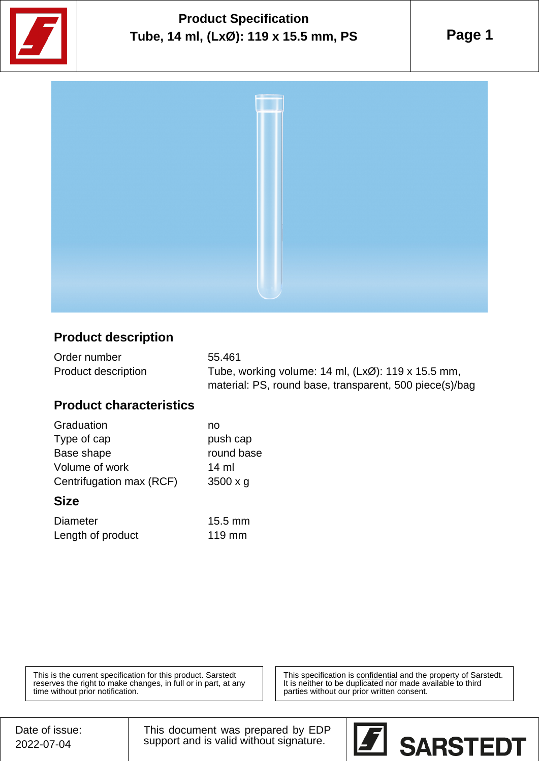

# **Product Specification Tube, 14 ml, (LxØ): 119 x 15.5 mm, PS**

**Page 1**



### **Product description**

| Order number        | 55.461                                                                 |
|---------------------|------------------------------------------------------------------------|
| Product description | Tube, working volume: $14$ ml, $(Lx\emptyset)$ : $119 \times 15.5$ mm, |
|                     | material: PS, round base, transparent, 500 piece(s)/bag                |

#### **Product characteristics**

| Graduation               | no              |
|--------------------------|-----------------|
| Type of cap              | push cap        |
| Base shape               | round base      |
| Volume of work           | 14 ml           |
| Centrifugation max (RCF) | $3500 \times g$ |
|                          |                 |

#### **Size**

| <b>Diameter</b>   | $15.5 \text{ mm}$ |
|-------------------|-------------------|
| Length of product | $119$ mm          |

This is the current specification for this product. Sarstedt reserves the right to make changes, in full or in part, at any time without prior notification.

This specification is **confidential** and the property of Sarstedt. It is neither to be duplicated nor made available to third parties without our prior written consent.

Date of issue: 2022-07-04

This document was prepared by EDP support and is valid without signature.